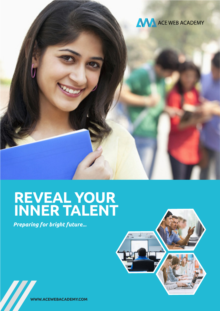

# **REVEAL YOUR INNER TALENT**

*Preparing for bright future...*



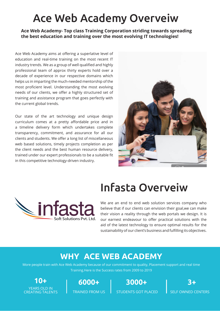## Ace Web Academy Overveiw

**Ace Web Academy- Top class Training Corporation striding towards spreading the best education and training over the most evolving IT technologies!**

Ace Web Academy aims at offering a superlative level of education and real-time training on the most recent IT industry trends. We as a group of well qualified and highly professional team of approx thirty experts hold over a decade of experience in our respective domains which helps us in imparting the much-needed mentorship of the most proficient level. Understanding the most evolving needs of our clients, we offer a highly structured set of training and assistance program that goes perfectly with the current global trends.

Our state of the art technology and unique design curriculum comes at a pretty affordable price and in a timeline delivery form which undertakes complete transparency, commitment, and assurance for all our clients and students. We offer a long list of miscellaneous web based solutions, timely projects completion as per the client needs and the best human resource delivery, trained under our expert professionals to be a suitable fit in this competitive technology-driven industry.



## $\Box$ infas Solutions Pyt Ltd

## Infasta Overveiw

We are an end to end web solution services company who believe that if our clients can envision their goal,we can make their vision a reality through the web portals we design. It is our earnest endeavour to offer practical solutions with the aid of the latest technology to ensure optimal results for the sustainability of our client's business and fulfilling its objectives.

## **WHY ACE WEB ACADEMY**

More people train with Ace Web Academy because of our commitment to quality, Placement support and real time Training.Here is the Success rates from 2009 to 2019

**10+** YEARS OLD IN CREATING TAI ENTS

**6000+** TRAINED FROM US **3000+**

STUDENTS GOT PLACED

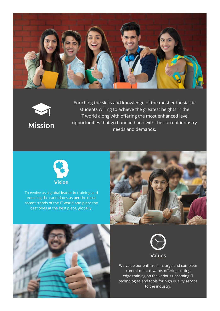





Enriching the skills and knowledge of the most enthusiastic students willing to achieve the greatest heights in the IT world along with offering the most enhanced level opportunities that go hand in hand with the current industry needs and demands.



To evolve as a global leader in training and excelling the candidates as per the most recent trends of the IT world and place the best ones at the best place, globally.







We value our enthusiasm, urge and complete commitment towards offering cutting edge training on the various upcoming IT technologies and tools for high quality service to the industry.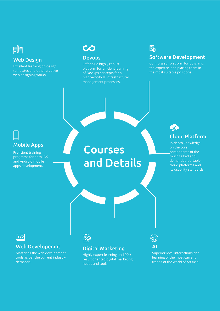

#### Web Design

Excellent learning on design templates and other creative web designing works.

## **CO**

### Devops

Offering a highly robust platform for efficient learning of DevOps concepts for a high velocity IT infrastructural management processes.

### 晶

### Software Development

Connoisseur platform for polishing the expertise and placing them in the most suitable positions.

### Mobile Apps

Proficient training programs for both IOS and Android mobile apps development.

## Courses and Details



### Cloud Platform

In-depth knowledge on the core components of the much talked and demanded portable cloud platforms and its usability standards.



#### Web Developemnt

Master all the web development tools as per the current industry demands.



### Digital Marketing

Highly expert learning on 100% result oriented digital marketing needs and tools.



## AI

Superior level interactions and learning of the most current trends of the world of Artificial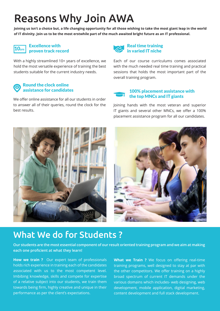## Reasons Why Join AWA

**Joining us isn't a choice but, a life changing opportunity for all those wishing to take the most giant leap in the world of IT divinity. Join us to be the most erstwhile part of the much awaited bright future as an IT professional.**

### $10_{\rm yrs}$

#### Excellence with proven track record

With a highly streamlined 10+ years of excellence, we hold the most versatile experience of training the best students suitable for the current industry needs.

#### Round the clock online assistance for candidates

We offer online assistance for all our students in order to answer all of their queries, round the clock for the best results.



Each of our course curriculums comes associated with the much needed real time training and practical sessions that holds the most important part of the overall training program.

#### 100% placement assistance with the top MNCs and IT giants

Joining hands with the most veteran and superior IT giants and several other MNCs, we offer a 100% placement assistance program for all our candidates.





### What We do for Students ?

**Our students are the most essential component of our result oriented training program and we aim at making each one proficient at what they learn!**

**How we train ?** Our expert team of professionals holds rich experience in training each of the candidates associated with us to the most competent level. Imbibing knowledge, skills and compete for expertise of a relative subject into our students, we train them towards being firm, highly creative and unique in their performance as per the client's expectations.

**What we Train ?** We focus on offering real-time training programs, well designed to stay at par with the other competitors. We offer training on a highly broad spectrum of current IT demands under the various domains which includes- web designing, web development, mobile application, digital marketing, content development and full stack development.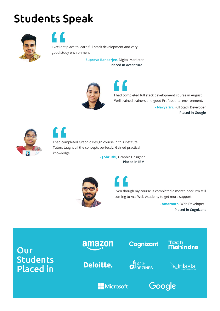# Students Speak



Excellent place to learn full stack development and very good study environment

> **- Suprovo Banaerjee,** Digital Marketer **Placed in Accenture**



I had completed full stack development course in August. Well trained trainers and good Professional environment. **- Navya Sri,** Full Stack Developer

**Placed in Google**



 $\blacksquare$ 

I had completed Graphic Design course in this institute. Tutors taught all the concepts perfectly. Gained practical knowledge.

> **- J.Shruthi,** Graphic Designer **Placed in IBM**



Even though my course is completed a month back, I'm still coming to Ace Web Academy to get more support.

> **- Amarnath,** Web Developer **Placed in Cognizant**

**Our Students** Placed in



**Deloitte.** 

 $\mathbf{C}$  ACE



Nahindra

'ech



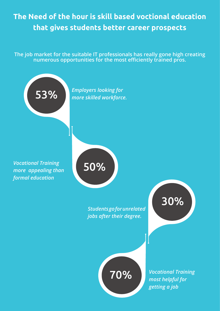## **The Need of the hour is skill based voctional education that gives students better career prospects**

**The job market for the suitable IT professionals has really gone high creating numerous opportunities for the most efficiently trained pros.**